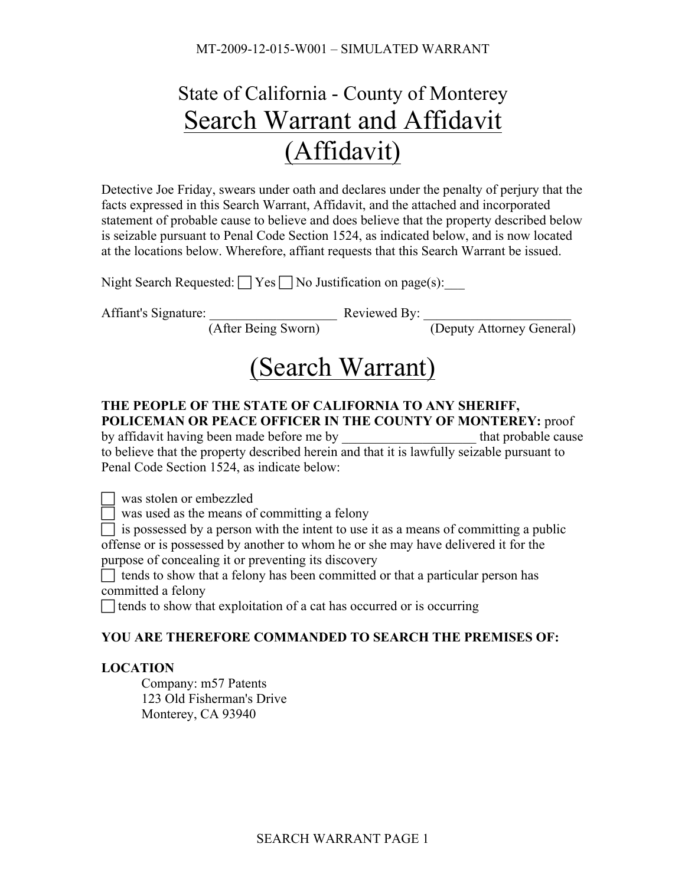MT-2009-12-015-W001 – SIMULATED WARRANT

# State of California - County of Monterey Search Warrant and Affidavit (Affidavit)

Detective Joe Friday, swears under oath and declares under the penalty of perjury that the facts expressed in this Search Warrant, Affidavit, and the attached and incorporated statement of probable cause to believe and does believe that the property described below is seizable pursuant to Penal Code Section 1524, as indicated below, and is now located at the locations below. Wherefore, affiant requests that this Search Warrant be issued.

|  |  | Night Search Requested: $\Box$ Yes $\Box$ No Justification on page(s): |
|--|--|------------------------------------------------------------------------|
|--|--|------------------------------------------------------------------------|

Affiant's Signature: The Reviewed By:

(After Being Sworn) (Deputy Attorney General)

## (Search Warrant)

#### **THE PEOPLE OF THE STATE OF CALIFORNIA TO ANY SHERIFF, POLICEMAN OR PEACE OFFICER IN THE COUNTY OF MONTEREY:** proof

by affidavit having been made before me by that probable cause to believe that the property described herein and that it is lawfully seizable pursuant to Penal Code Section 1524, as indicate below:

was stolen or embezzled

 $\Box$  was used as the means of committing a felony

 $\Box$  is possessed by a person with the intent to use it as a means of committing a public offense or is possessed by another to whom he or she may have delivered it for the purpose of concealing it or preventing its discovery

 $\Box$  tends to show that a felony has been committed or that a particular person has committed a felony

 $\Box$  tends to show that exploitation of a cat has occurred or is occurring

## **YOU ARE THEREFORE COMMANDED TO SEARCH THE PREMISES OF:**

## **LOCATION**

Company: m57 Patents 123 Old Fisherman's Drive Monterey, CA 93940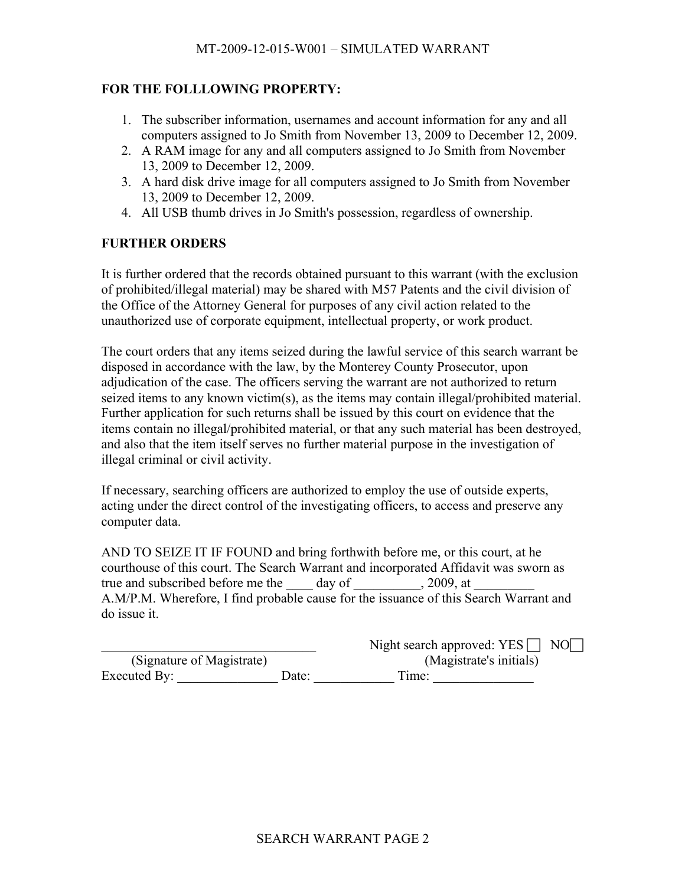## **FOR THE FOLLLOWING PROPERTY:**

- 1. The subscriber information, usernames and account information for any and all computers assigned to Jo Smith from November 13, 2009 to December 12, 2009.
- 2. A RAM image for any and all computers assigned to Jo Smith from November 13, 2009 to December 12, 2009.
- 3. A hard disk drive image for all computers assigned to Jo Smith from November 13, 2009 to December 12, 2009.
- 4. All USB thumb drives in Jo Smith's possession, regardless of ownership.

### **FURTHER ORDERS**

It is further ordered that the records obtained pursuant to this warrant (with the exclusion of prohibited/illegal material) may be shared with M57 Patents and the civil division of the Office of the Attorney General for purposes of any civil action related to the unauthorized use of corporate equipment, intellectual property, or work product.

The court orders that any items seized during the lawful service of this search warrant be disposed in accordance with the law, by the Monterey County Prosecutor, upon adjudication of the case. The officers serving the warrant are not authorized to return seized items to any known victim(s), as the items may contain illegal/prohibited material. Further application for such returns shall be issued by this court on evidence that the items contain no illegal/prohibited material, or that any such material has been destroyed, and also that the item itself serves no further material purpose in the investigation of illegal criminal or civil activity.

If necessary, searching officers are authorized to employ the use of outside experts, acting under the direct control of the investigating officers, to access and preserve any computer data.

AND TO SEIZE IT IF FOUND and bring forthwith before me, or this court, at he courthouse of this court. The Search Warrant and incorporated Affidavit was sworn as true and subscribed before me the \_\_\_\_\_ day of \_\_\_\_\_\_\_\_\_\_, 2009, at A.M/P.M. Wherefore, I find probable cause for the issuance of this Search Warrant and do issue it.

|                           |       | Night search approved: $YES$<br>NO NO |
|---------------------------|-------|---------------------------------------|
| (Signature of Magistrate) |       | (Magistrate's initials)               |
| Executed By:              | Date: | Time:                                 |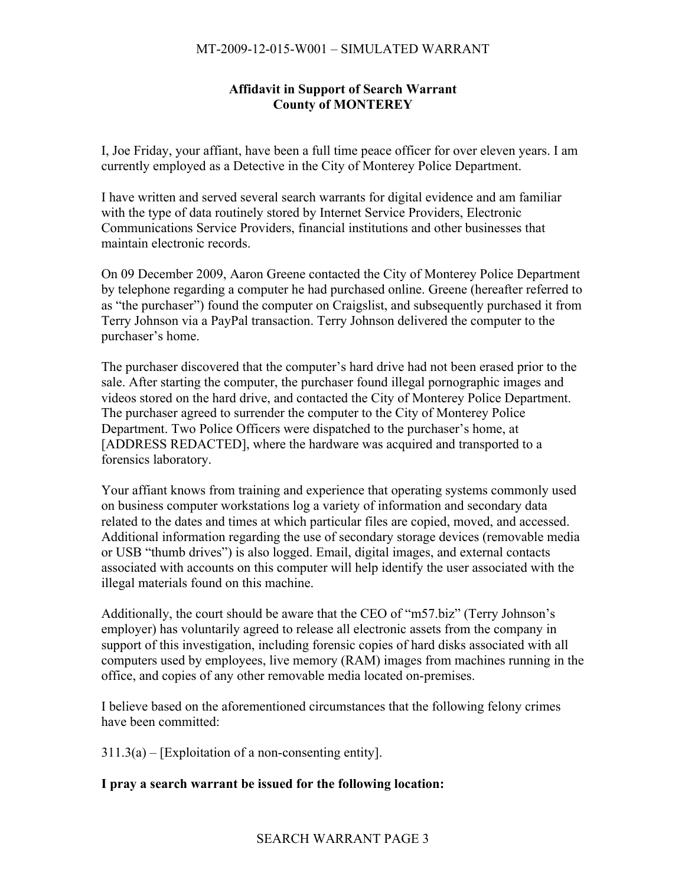## **Affidavit in Support of Search Warrant County of MONTEREY**

I, Joe Friday, your affiant, have been a full time peace officer for over eleven years. I am currently employed as a Detective in the City of Monterey Police Department.

I have written and served several search warrants for digital evidence and am familiar with the type of data routinely stored by Internet Service Providers, Electronic Communications Service Providers, financial institutions and other businesses that maintain electronic records.

On 09 December 2009, Aaron Greene contacted the City of Monterey Police Department by telephone regarding a computer he had purchased online. Greene (hereafter referred to as "the purchaser") found the computer on Craigslist, and subsequently purchased it from Terry Johnson via a PayPal transaction. Terry Johnson delivered the computer to the purchaser's home.

The purchaser discovered that the computer's hard drive had not been erased prior to the sale. After starting the computer, the purchaser found illegal pornographic images and videos stored on the hard drive, and contacted the City of Monterey Police Department. The purchaser agreed to surrender the computer to the City of Monterey Police Department. Two Police Officers were dispatched to the purchaser's home, at [ADDRESS REDACTED], where the hardware was acquired and transported to a forensics laboratory.

Your affiant knows from training and experience that operating systems commonly used on business computer workstations log a variety of information and secondary data related to the dates and times at which particular files are copied, moved, and accessed. Additional information regarding the use of secondary storage devices (removable media or USB "thumb drives") is also logged. Email, digital images, and external contacts associated with accounts on this computer will help identify the user associated with the illegal materials found on this machine.

Additionally, the court should be aware that the CEO of "m57.biz" (Terry Johnson's employer) has voluntarily agreed to release all electronic assets from the company in support of this investigation, including forensic copies of hard disks associated with all computers used by employees, live memory (RAM) images from machines running in the office, and copies of any other removable media located on-premises.

I believe based on the aforementioned circumstances that the following felony crimes have been committed:

 $311.3(a)$  – [Exploitation of a non-consenting entity].

### **I pray a search warrant be issued for the following location:**